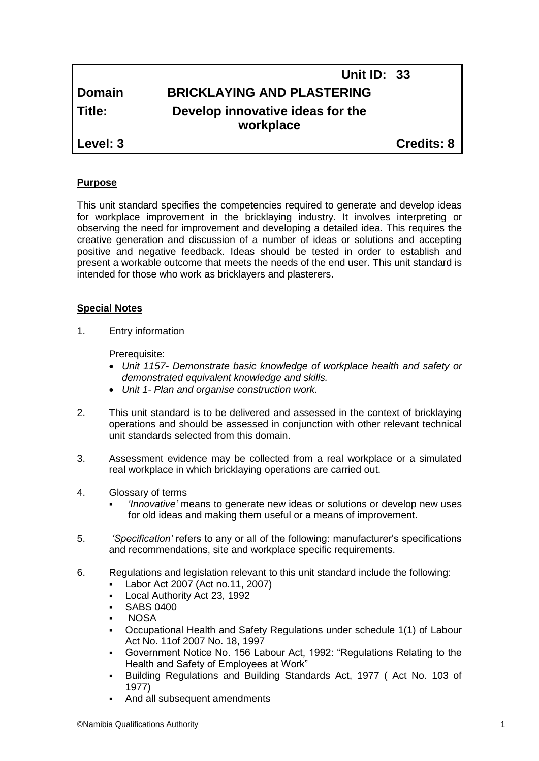# **Unit ID: 33 Domain BRICKLAYING AND PLASTERING Title: Develop innovative ideas for the workplace Level: 3 Credits: 8**

# **Purpose**

This unit standard specifies the competencies required to generate and develop ideas for workplace improvement in the bricklaying industry. It involves interpreting or observing the need for improvement and developing a detailed idea. This requires the creative generation and discussion of a number of ideas or solutions and accepting positive and negative feedback. Ideas should be tested in order to establish and present a workable outcome that meets the needs of the end user. This unit standard is intended for those who work as bricklayers and plasterers.

## **Special Notes**

1. Entry information

Prerequisite:

- *Unit 1157- Demonstrate basic knowledge of workplace health and safety or demonstrated equivalent knowledge and skills.*
- *Unit 1- Plan and organise construction work.*
- 2. This unit standard is to be delivered and assessed in the context of bricklaying operations and should be assessed in conjunction with other relevant technical unit standards selected from this domain.
- 3. Assessment evidence may be collected from a real workplace or a simulated real workplace in which bricklaying operations are carried out.
- 4. Glossary of terms
	- *'Innovative'* means to generate new ideas or solutions or develop new uses for old ideas and making them useful or a means of improvement.
- 5. *'Specification'* refers to any or all of the following: manufacturer's specifications and recommendations, site and workplace specific requirements.
- 6. Regulations and legislation relevant to this unit standard include the following:
	- Labor Act 2007 (Act no.11, 2007)
	- Local Authority Act 23, 1992
	- SABS 0400
	- **NOSA**
	- Occupational Health and Safety Regulations under schedule 1(1) of Labour Act No. 11of 2007 No. 18, 1997
	- Government Notice No. 156 Labour Act, 1992: "Regulations Relating to the Health and Safety of Employees at Work"
	- Building Regulations and Building Standards Act, 1977 ( Act No. 103 of 1977)
	- And all subsequent amendments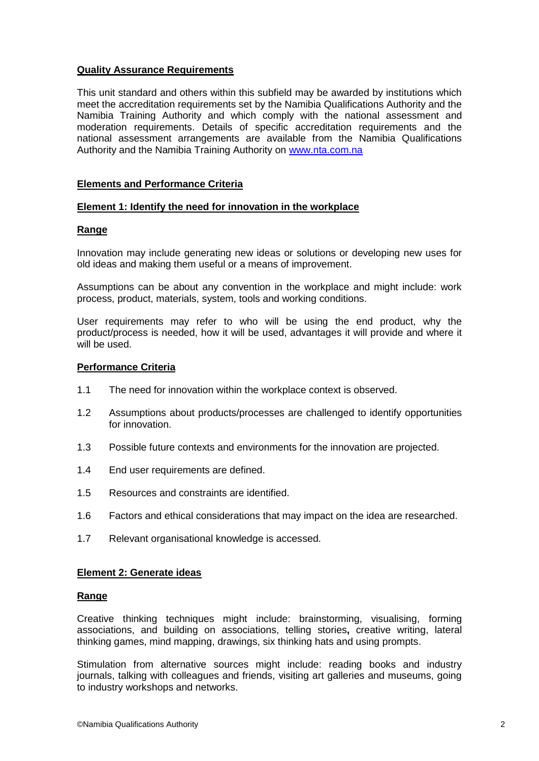# **Quality Assurance Requirements**

This unit standard and others within this subfield may be awarded by institutions which meet the accreditation requirements set by the Namibia Qualifications Authority and the Namibia Training Authority and which comply with the national assessment and moderation requirements. Details of specific accreditation requirements and the national assessment arrangements are available from the Namibia Qualifications Authority and the Namibia Training Authority on [www.nta.com.na](http://www.nta.com.na/)

# **Elements and Performance Criteria**

## **Element 1: Identify the need for innovation in the workplace**

## **Range**

Innovation may include generating new ideas or solutions or developing new uses for old ideas and making them useful or a means of improvement.

Assumptions can be about any convention in the workplace and might include: work process, product, materials, system, tools and working conditions.

User requirements may refer to who will be using the end product, why the product/process is needed, how it will be used, advantages it will provide and where it will be used.

## **Performance Criteria**

- 1.1 The need for innovation within the workplace context is observed.
- 1.2 Assumptions about products/processes are challenged to identify opportunities for innovation.
- 1.3 Possible future contexts and environments for the innovation are projected.
- 1.4 End user requirements are defined.
- 1.5 Resources and constraints are identified.
- 1.6 Factors and ethical considerations that may impact on the idea are researched.
- 1.7 Relevant organisational knowledge is accessed.

#### **Element 2: Generate ideas**

#### **Range**

Creative thinking techniques might include: brainstorming, visualising, forming associations, and building on associations, telling stories**,** creative writing, lateral thinking games, mind mapping, drawings, six thinking hats and using prompts.

Stimulation from alternative sources might include: reading books and industry journals, talking with colleagues and friends, visiting art galleries and museums, going to industry workshops and networks.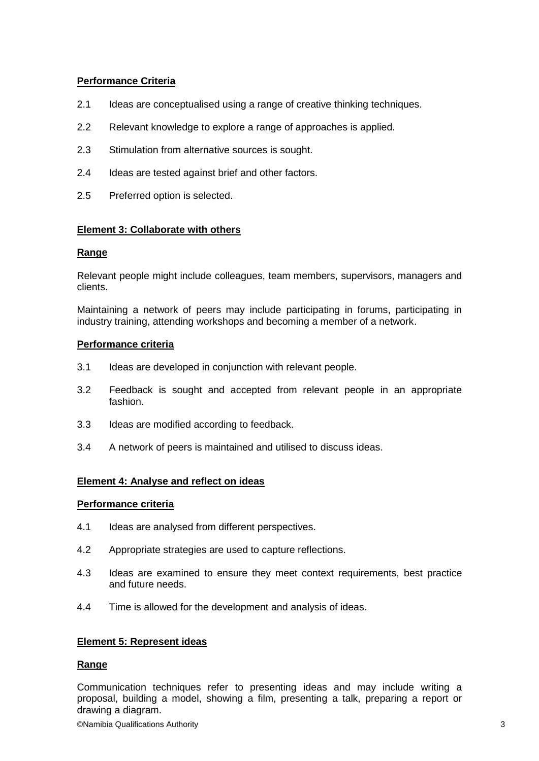# **Performance Criteria**

- 2.1 Ideas are conceptualised using a range of creative thinking techniques.
- 2.2 Relevant knowledge to explore a range of approaches is applied.
- 2.3 Stimulation from alternative sources is sought.
- 2.4 Ideas are tested against brief and other factors.
- 2.5 Preferred option is selected.

# **Element 3: Collaborate with others**

# **Range**

Relevant people might include colleagues, team members, supervisors, managers and clients.

Maintaining a network of peers may include participating in forums, participating in industry training, attending workshops and becoming a member of a network.

# **Performance criteria**

- 3.1 Ideas are developed in conjunction with relevant people.
- 3.2 Feedback is sought and accepted from relevant people in an appropriate fashion.
- 3.3 Ideas are modified according to feedback.
- 3.4 A network of peers is maintained and utilised to discuss ideas.

# **Element 4: Analyse and reflect on ideas**

#### **Performance criteria**

- 4.1 Ideas are analysed from different perspectives.
- 4.2 Appropriate strategies are used to capture reflections.
- 4.3 Ideas are examined to ensure they meet context requirements, best practice and future needs.
- 4.4 Time is allowed for the development and analysis of ideas.

#### **Element 5: Represent ideas**

# **Range**

Communication techniques refer to presenting ideas and may include writing a proposal, building a model, showing a film, presenting a talk, preparing a report or drawing a diagram.